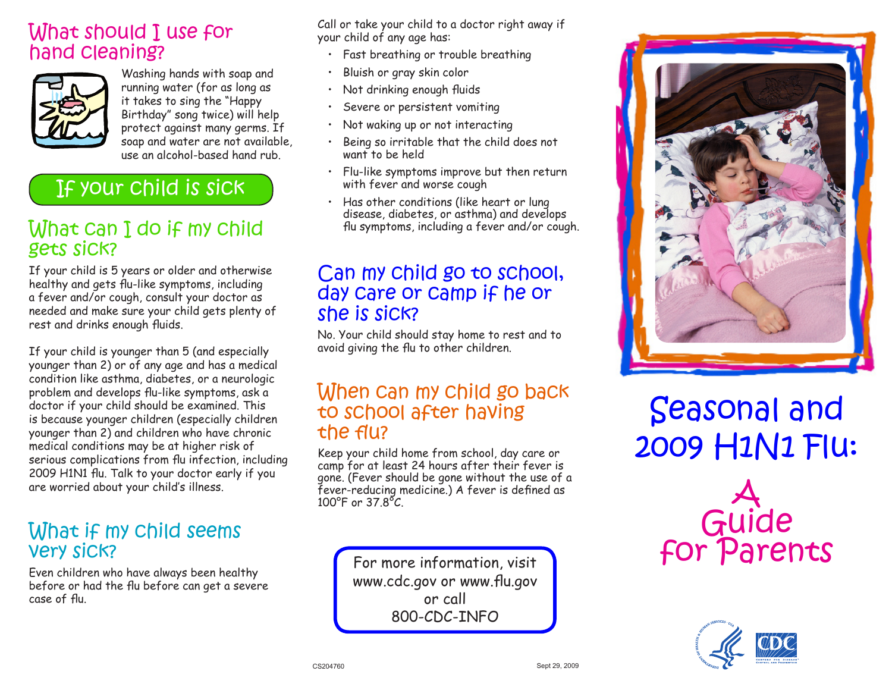### What should I use for hand cleaning?



Washing hands with soap and running water (for as long as it takes to sing the "Happy Birthday" song twice) will help protect against many germs. If soap and water are not available, use an alcohol-based hand rub.

# If your child is sick

### What can I do if my child gets sick?

If your child is 5 years or older and otherwise healthy and gets flu-like symptoms, including a fever and/or cough, consult your doctor as needed and make sure your child gets plenty of rest and drinks enough fluids.

If your child is younger than 5 (and especially younger than 2) or of any age and has a medical condition like asthma, diabetes, or a neurologic problem and develops flu-like symptoms, ask a doctor if your child should be examined. This is because younger children (especially children younger than 2) and children who have chronic medical conditions may be at higher risk of serious complications from flu infection, including 2009 H1N1 flu. Talk to your doctor early if you are worried about your child's illness.

### What if my child seems very sick?

Even children who have always been healthy before or had the flu before can get a severe case of flu.

Call or take your child to a doctor right away if your child of any age has:

- Fast breathing or trouble breathing
- Bluish or gray skin color
- Not drinking enough fluids
- Severe or persistent vomiting
- Not waking up or not interacting
- Being so irritable that the child does not want to be held
- Flu-like symptoms improve but then return with fever and worse cough
- Has other conditions (like heart or lung disease, diabetes, or asthma) and develops flu symptoms, including a fever and/or cough.

### Can my child go to school, day care or camp if he or she is sick?

No. Your child should stay home to rest and to avoid giving the flu to other children.

#### When can my child go back to school after having the flu?

Keep your child home from school, day care or camp for at least 24 hours after their fever is gone. (Fever should be gone without the use of a fever-reducing medicine.) A fever is defined as 100°F or 37.8°C.

> For more information, visit www.cdc.gov or www.flu.gov or call 800-CDC-INFO



Seasonal and 2009 H1N1 Flu:

> $\bm{\lambda}$ Guide for Parents